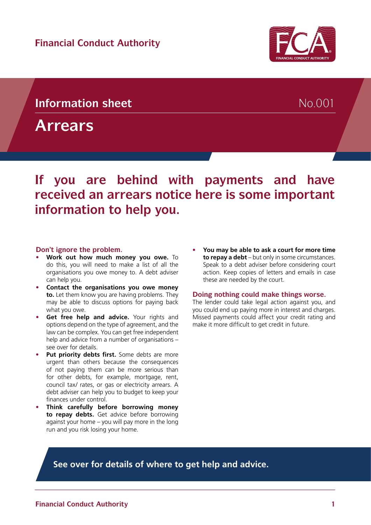## **Information sheet** No.001

**Arrears**

# **received an arrears notice here is some important information to help you.**

**If you are behind with payments and have** 

#### **Don't ignore the problem.**

- **• Work out how much money you owe.** To do this, you will need to make a list of all the organisations you owe money to. A debt adviser can help you.
- **• Contact the organisations you owe money to.** Let them know you are having problems. They may be able to discuss options for paying back what you owe.
- **• Get free help and advice.** Your rights and options depend on the type of agreement, and the law can be complex. You can get free independent help and advice from a number of organisations – see over for details.
- **• Put priority debts first.** Some debts are more urgent than others because the consequences of not paying them can be more serious than for other debts, for example, mortgage, rent, council tax/ rates, or gas or electricity arrears. A debt adviser can help you to budget to keep your finances under control.
- **• Think carefully before borrowing money to repay debts.** Get advice before borrowing against your home – you will pay more in the long run and you risk losing your home.

**• You may be able to ask a court for more time to repay a debt** – but only in some circumstances. Speak to a debt adviser before considering court action. Keep copies of letters and emails in case these are needed by the court.

#### **Doing nothing could make things worse.**

The lender could take legal action against you, and you could end up paying more in interest and charges. Missed payments could affect your credit rating and make it more difficult to get credit in future.

**See over for details of where to get help and advice.**